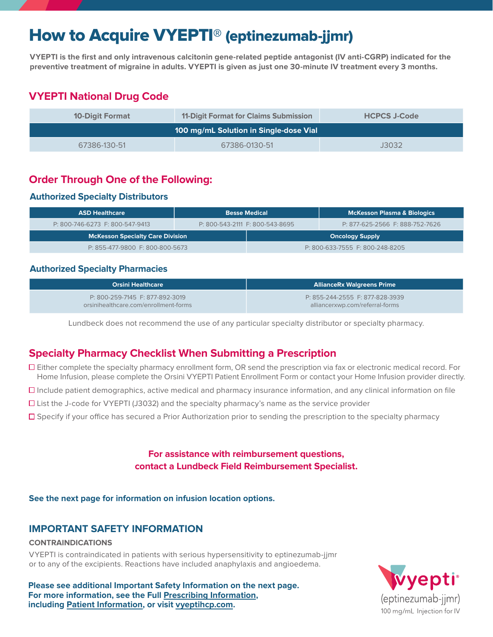# How to Acquire VYEPTI® (eptinezumab-jjmr)

**VYEPTI is the first and only intravenous calcitonin gene-related peptide antagonist (IV anti-CGRP) indicated for the preventive treatment of migraine in adults. VYEPTI is given as just one 30-minute IV treatment every 3 months.**

# **VYEPTI National Drug Code**

| <b>10-Digit Format</b>                 | 11-Digit Format for Claims Submission | <b>HCPCS J-Code</b> |  |  |
|----------------------------------------|---------------------------------------|---------------------|--|--|
| 100 mg/mL Solution in Single-dose Vial |                                       |                     |  |  |
| 67386-130-51                           | 67386-0130-51                         | J3032               |  |  |

## **Order Through One of the Following:**

### **Authorized Specialty Distributors**

| <b>ASD Healthcare</b>                   |  | <b>Besse Medical</b>            | <b>McKesson Plasma &amp; Biologics</b> |
|-----------------------------------------|--|---------------------------------|----------------------------------------|
| P: 800-746-6273 F: 800-547-9413         |  | P: 800-543-2111 F: 800-543-8695 | P: 877-625-2566 F: 888-752-7626        |
| <b>McKesson Specialty Care Division</b> |  |                                 | <b>Oncology Supply</b>                 |
| P: 855-477-9800 F: 800-800-5673         |  |                                 | P: 800-633-7555 F: 800-248-8205        |

### **Authorized Specialty Pharmacies**

| <b>Orsini Healthcare</b>              | <b>AllianceRx Walgreens Prime</b> |
|---------------------------------------|-----------------------------------|
| P: 800-259-7145 F: 877-892-3019       | P: 855-244-2555 F: 877-828-3939   |
| orsinihealthcare.com/enrollment-forms | alliancerxwp.com/referral-forms   |

Lundbeck does not recommend the use of any particular specialty distributor or specialty pharmacy.

## **Specialty Pharmacy Checklist When Submitting a Prescription**

- Either complete the specialty pharmacy enrollment form, OR send the prescription via fax or electronic medical record. For Home Infusion, please complete the Orsini VYEPTI Patient Enrollment Form or contact your Home Infusion provider directly.
- $\Box$  Include patient demographics, active medical and pharmacy insurance information, and any clinical information on file
- $\Box$  List the J-code for VYEPTI (J3032) and the specialty pharmacy's name as the service provider
- Specify if your office has secured a Prior Authorization prior to sending the prescription to the specialty pharmacy

## **For assistance with reimbursement questions, contact a Lundbeck Field Reimbursement Specialist.**

**See the next page for information on infusion location options.**

## **IMPORTANT SAFETY INFORMATION**

#### **CONTRAINDICATIONS**

VYEPTI is contraindicated in patients with serious hypersensitivity to eptinezumab-jjmr or to any of the excipients. Reactions have included anaphylaxis and angioedema.

**Please see additional Important Safety Information on the next page. For more information, see the Full [Prescribing Information](https://www.lundbeck.com/upload/us/files/pdf/Products/Vyepti_PI_US_EN.pdf), including [Patient Information](https://www.lundbeck.com/upload/us/files/pdf/Products/Vyepti_PPI_US_EN.pdf), or visit [vyeptihcp.com.](https://www.vyeptihcp.com/)**